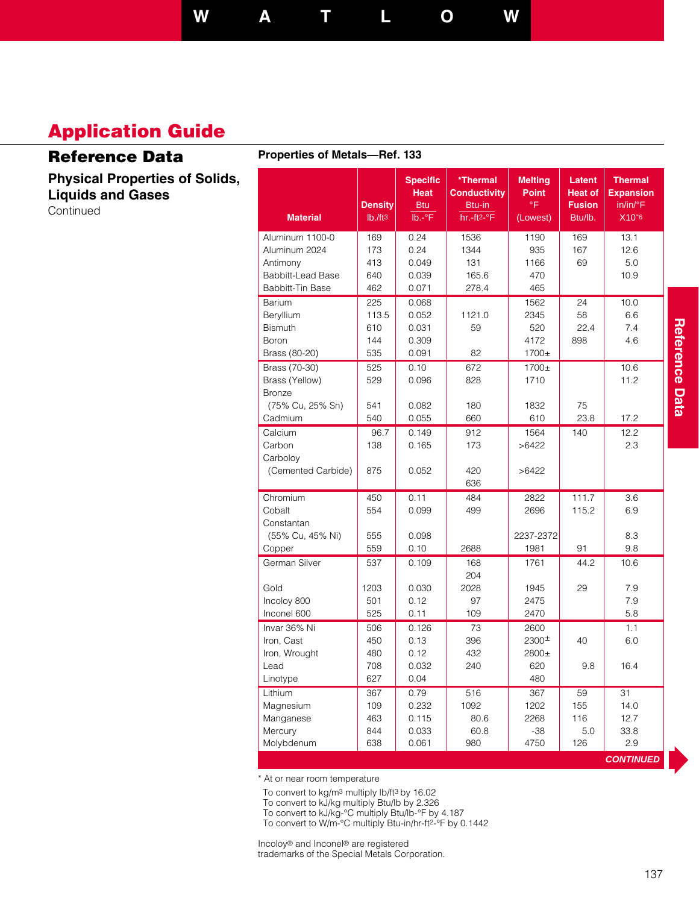**W A T L O W**

## **Application Guide**

## **Reference Data**

**Physical Properties of Solids, Liquids and Gases** Continued

#### **Properties of Metals—Ref. 133**

| <b>Material</b>          | <b>Density</b><br>Ib./ft3 | <b>Specific</b><br><b>Heat</b><br><b>Btu</b><br>$lb.-°F$ | *Thermal<br><b>Conductivity</b><br>Btu-in<br>$hr.-ft2-°F$ | <b>Melting</b><br><b>Point</b><br>۰F<br>(Lowest) | Latent<br><b>Heat of</b><br><b>Fusion</b><br>Btu/lb. | <b>Thermal</b><br><b>Expansion</b><br>in/in/°F<br>X10 <sup>-6</sup> |
|--------------------------|---------------------------|----------------------------------------------------------|-----------------------------------------------------------|--------------------------------------------------|------------------------------------------------------|---------------------------------------------------------------------|
| Aluminum 1100-0          | 169                       | 0.24                                                     | 1536                                                      | 1190                                             | 169                                                  | 13.1                                                                |
| Aluminum 2024            | 173                       | 0.24                                                     | 1344                                                      | 935                                              | 167                                                  | 12.6                                                                |
| Antimony                 | 413                       | 0.049                                                    | 131                                                       | 1166                                             | 69                                                   | 5.0                                                                 |
| <b>Babbitt-Lead Base</b> | 640                       | 0.039                                                    | 165.6                                                     | 470                                              |                                                      | 10.9                                                                |
| Babbitt-Tin Base         | 462                       | 0.071                                                    | 278.4                                                     | 465                                              |                                                      |                                                                     |
| Barium                   | 225                       | 0.068                                                    |                                                           | 1562                                             | 24                                                   | 10.0                                                                |
| Beryllium                | 113.5                     | 0.052                                                    | 1121.0                                                    | 2345                                             | 58                                                   | 6.6                                                                 |
| <b>Bismuth</b>           | 610                       | 0.031                                                    | 59                                                        | 520                                              | 22.4                                                 | 7.4                                                                 |
| Boron                    | 144                       | 0.309                                                    |                                                           | 4172                                             | 898                                                  | 4.6                                                                 |
| Brass (80-20)            | 535                       | 0.091                                                    | 82                                                        | $1700+$                                          |                                                      |                                                                     |
| Brass (70-30)            | 525                       | 0.10                                                     | 672                                                       | 1700±                                            |                                                      | 10.6                                                                |
| Brass (Yellow)           | 529                       | 0.096                                                    | 828                                                       | 1710                                             |                                                      | 11.2                                                                |
| <b>Bronze</b>            |                           |                                                          |                                                           |                                                  |                                                      |                                                                     |
| (75% Cu, 25% Sn)         | 541                       | 0.082                                                    | 180                                                       | 1832                                             | 75                                                   |                                                                     |
| Cadmium                  | 540                       | 0.055                                                    | 660                                                       | 610                                              | 23.8                                                 | 17.2                                                                |
| Calcium                  | 96.7                      | 0.149                                                    | 912                                                       | 1564                                             | 140                                                  | 12.2                                                                |
| Carbon                   | 138                       | 0.165                                                    | 173                                                       | >6422                                            |                                                      | 2.3                                                                 |
| Carboloy                 |                           |                                                          |                                                           |                                                  |                                                      |                                                                     |
| (Cemented Carbide)       | 875                       | 0.052                                                    | 420                                                       | >6422                                            |                                                      |                                                                     |
|                          |                           |                                                          | 636                                                       |                                                  |                                                      |                                                                     |
| Chromium                 | 450                       | 0.11                                                     | 484                                                       | 2822                                             | 111.7                                                | 3.6                                                                 |
| Cobalt                   | 554                       | 0.099                                                    | 499                                                       | 2696                                             | 115.2                                                | 6.9                                                                 |
| Constantan               |                           |                                                          |                                                           |                                                  |                                                      |                                                                     |
| (55% Cu, 45% Ni)         | 555                       | 0.098                                                    |                                                           | 2237-2372                                        |                                                      | 8.3                                                                 |
| Copper                   | 559                       | 0.10                                                     | 2688                                                      | 1981                                             | 91                                                   | 9.8                                                                 |
| German Silver            | 537                       | 0.109                                                    | 168                                                       | 1761                                             | 44.2                                                 | 10.6                                                                |
|                          |                           |                                                          | 204                                                       |                                                  |                                                      |                                                                     |
| Gold                     | 1203                      | 0.030                                                    | 2028                                                      | 1945                                             | 29                                                   | 7.9                                                                 |
| Incoloy 800              | 501                       | 0.12                                                     | 97                                                        | 2475                                             |                                                      | 7.9                                                                 |
| Inconel 600              | 525                       | 0.11                                                     | 109                                                       | 2470                                             |                                                      | 5.8                                                                 |
| Invar 36% Ni             | 506                       | 0.126                                                    | 73                                                        | 2600                                             |                                                      | 1.1                                                                 |
| Iron, Cast               | 450                       | 0.13                                                     | 396                                                       | 2300 <sup><math>\pm</math></sup>                 | 40                                                   | 6.0                                                                 |
| Iron, Wrought            | 480                       | 0.12                                                     | 432                                                       | 2800±                                            |                                                      |                                                                     |
| Lead                     | 708                       | 0.032                                                    | 240                                                       | 620                                              | 9.8                                                  | 16.4                                                                |
| Linotype                 | 627                       | 0.04                                                     |                                                           | 480                                              |                                                      |                                                                     |
| Lithium                  | 367                       | 0.79                                                     | 516                                                       | 367                                              | 59                                                   | 31                                                                  |
| Magnesium                | 109                       | 0.232                                                    | 1092                                                      | 1202                                             | 155                                                  | 14.0                                                                |
| Manganese                | 463                       | 0.115                                                    | 80.6                                                      | 2268                                             | 116                                                  | 12.7                                                                |
| Mercury                  | 844                       | 0.033                                                    | 60.8                                                      | $-38$                                            | 5.0                                                  | 33.8                                                                |
| Molybdenum               | 638                       | 0.061                                                    | 980                                                       | 4750                                             | 126                                                  | 2.9                                                                 |
|                          |                           |                                                          |                                                           |                                                  |                                                      | <b>CONTINUED</b>                                                    |

\* At or near room temperature

To convert to kg/m3 multiply lb/ft3 by 16.02

To convert to kJ/kg multiply Btu/lb by 2.326

To convert to kJ/kg-°C multiply Btu/lb-°F by 4.187

To convert to W/m-°C multiply Btu-in/hr-ft2-°F by 0.1442

Incoloy® and Inconel® are registered trademarks of the Special Metals Corporation.